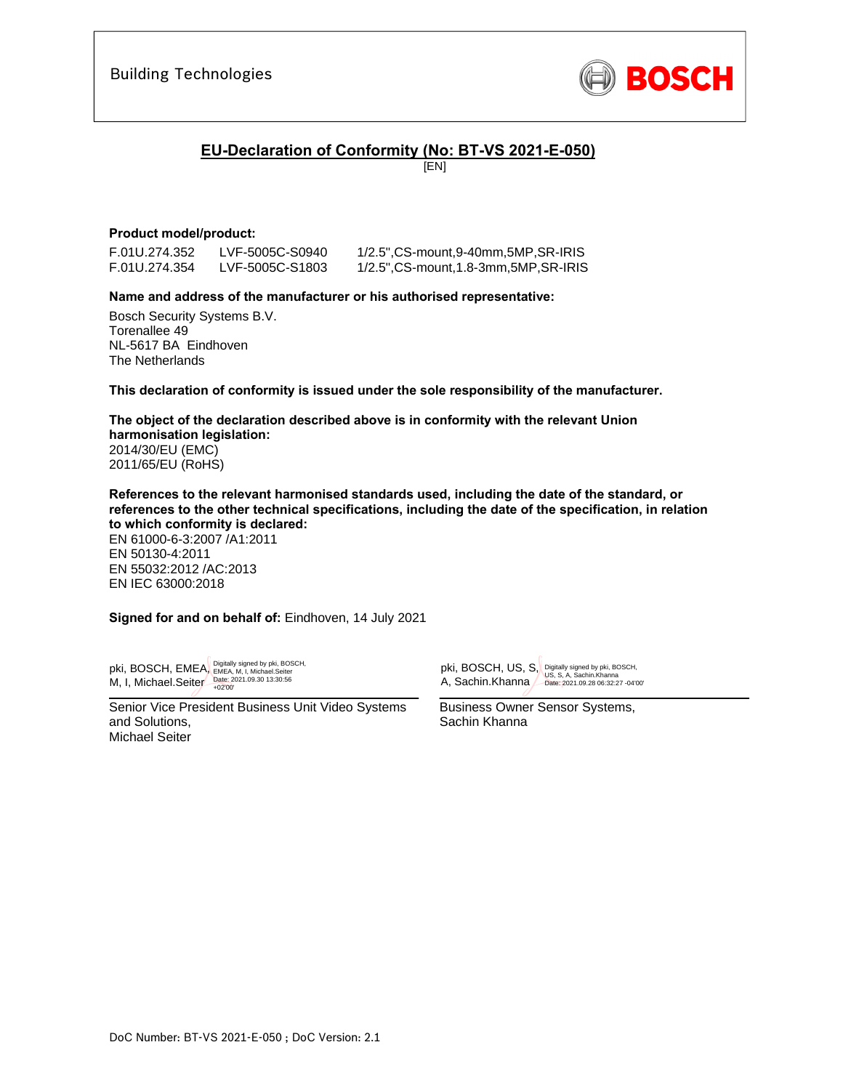

## **EU-Declaration of Conformity (No: BT-VS 2021-E-050)**

[EN]

### **Product model/product:**

F.01U.274.352 LVF-5005C-S0940 1/2.5",CS-mount,9-40mm,5MP,SR-IRIS F.01U.274.354 LVF-5005C-S1803 1/2.5",CS-mount,1.8-3mm,5MP,SR-IRIS

### **Name and address of the manufacturer or his authorised representative:**

Bosch Security Systems B.V. Torenallee 49 NL-5617 BA Eindhoven The Netherlands

**This declaration of conformity is issued under the sole responsibility of the manufacturer.** 

**The object of the declaration described above is in conformity with the relevant Union harmonisation legislation:** 2014/30/EU (EMC) 2011/65/EU (RoHS)

**References to the relevant harmonised standards used, including the date of the standard, or references to the other technical specifications, including the date of the specification, in relation to which conformity is declared:** 

EN 61000-6-3:2007 /A1:2011 EN 50130-4:2011 EN 55032:2012 /AC:2013 EN IEC 63000:2018

**Signed for and on behalf of:** Eindhoven, 14 July 2021

M, I, Michael.Seiter  $\frac{\text{Date: } 2021.09.30 13:30.56}{+02'00}$ pki, BOSCH, EMEA, Digitally signed by pki, BOSCH,

Senior Vice President Business Unit Video Systems and Solutions, Michael Seiter

 $\overline{\phantom{a}}$ pki, BOSCH, US, S, Digitally signed by pki, BOSCH, A, Sachin.Khanna Date: 2021.09.28 06:32:27 -04'00'

Business Owner Sensor Systems, Sachin Khanna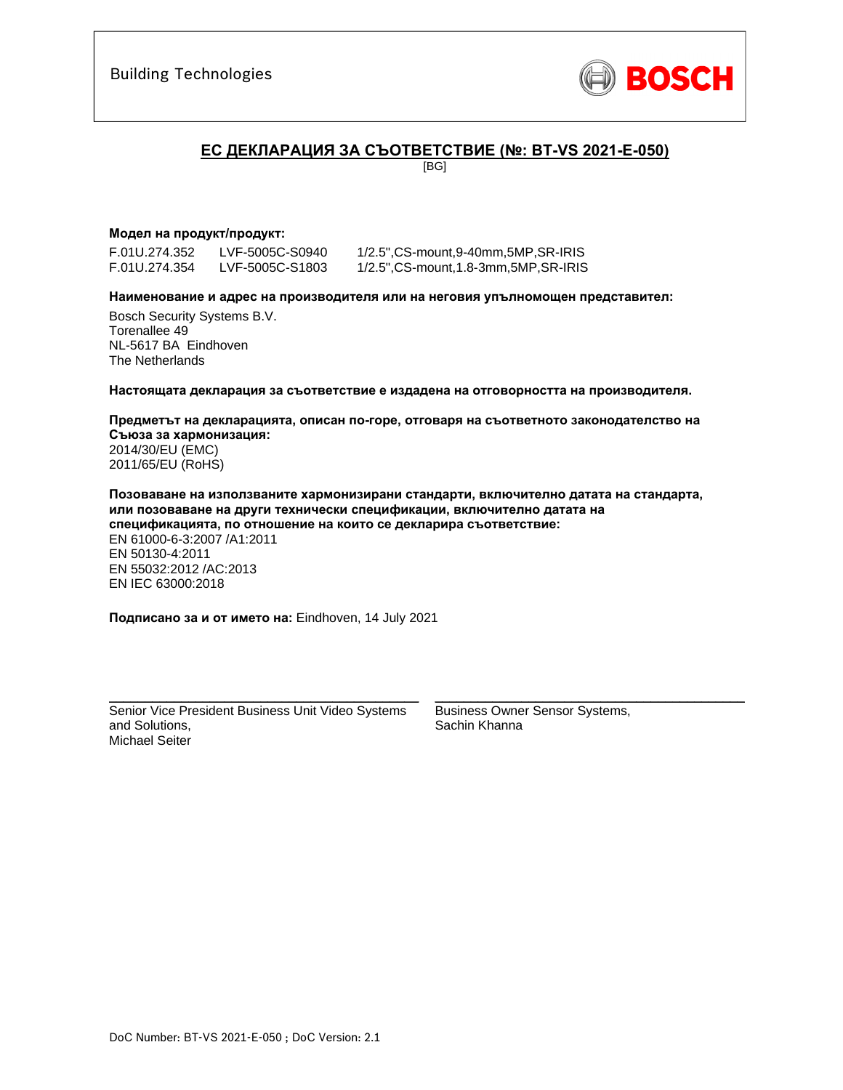

## **ЕC ДЕКЛАРАЦИЯ ЗА СЪОТВЕТСТВИЕ (№: BT-VS 2021-E-050)**

[BG]

### **Модел на продукт/продукт:**

F.01U.274.352 LVF-5005C-S0940 1/2.5",CS-mount,9-40mm,5MP,SR-IRIS

1/2.5", CS-mount, 1.8-3mm, 5MP, SR-IRIS

**Наименование и адрес на производителя или на неговия упълномощен представител:** 

Bosch Security Systems B.V. Torenallee 49 NL-5617 BA Eindhoven The Netherlands

**Настоящата декларация за съответствие е издадена на отговорността на производителя.** 

**Предметът на декларацията, описан по-горе, отговаря на съответното законодателство на Съюза за хармонизация:** 2014/30/EU (EMC) 2011/65/EU (RoHS)

**Позоваване на използваните хармонизирани стандарти, включително датата на стандарта, или позоваване на други технически спецификации, включително датата на спецификацията, по отношение на които се декларира съответствие:**  EN 61000-6-3:2007 /A1:2011 EN 50130-4:2011 EN 55032:2012 /AC:2013 EN IEC 63000:2018

**Подписано за и от името на:** Eindhoven, 14 July 2021

Senior Vice President Business Unit Video Systems and Solutions, Michael Seiter

\_\_\_\_\_\_\_\_\_\_\_\_\_\_\_\_\_\_\_\_\_\_\_\_\_\_\_\_\_\_\_\_\_\_\_\_\_\_\_\_\_\_\_

Business Owner Sensor Systems, Sachin Khanna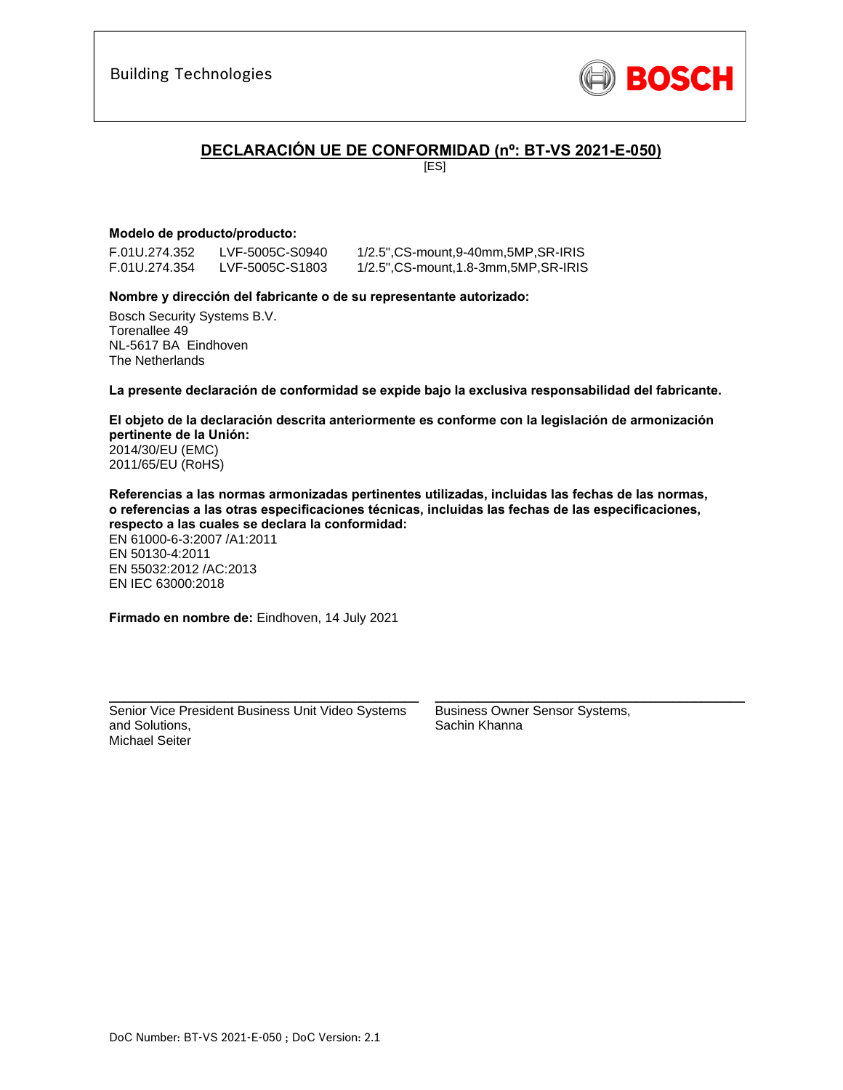

## **DECLARACIÓN UE DE CONFORMIDAD (nº: BT-VS 2021-E-050)**

[ES]

## **Modelo de producto/producto:**

F.01U.274.352 LVF-5005C-S0940 1/2.5",CS-mount,9-40mm,5MP,SR-IRIS

1/2.5", CS-mount, 1.8-3mm, 5MP, SR-IRIS

### **Nombre y dirección del fabricante o de su representante autorizado:**

Bosch Security Systems B.V. Torenallee 49 NL-5617 BA Eindhoven The Netherlands

**La presente declaración de conformidad se expide bajo la exclusiva responsabilidad del fabricante.** 

**El objeto de la declaración descrita anteriormente es conforme con la legislación de armonización pertinente de la Unión:** 2014/30/EU (EMC) 2011/65/EU (RoHS)

**Referencias a las normas armonizadas pertinentes utilizadas, incluidas las fechas de las normas, o referencias a las otras especificaciones técnicas, incluidas las fechas de las especificaciones, respecto a las cuales se declara la conformidad:**  EN 61000-6-3:2007 /A1:2011 EN 50130-4:2011 EN 55032:2012 /AC:2013 EN IEC 63000:2018

**Firmado en nombre de:** Eindhoven, 14 July 2021

Senior Vice President Business Unit Video Systems and Solutions, Michael Seiter

\_\_\_\_\_\_\_\_\_\_\_\_\_\_\_\_\_\_\_\_\_\_\_\_\_\_\_\_\_\_\_\_\_\_\_\_\_\_\_\_\_\_\_

Business Owner Sensor Systems, Sachin Khanna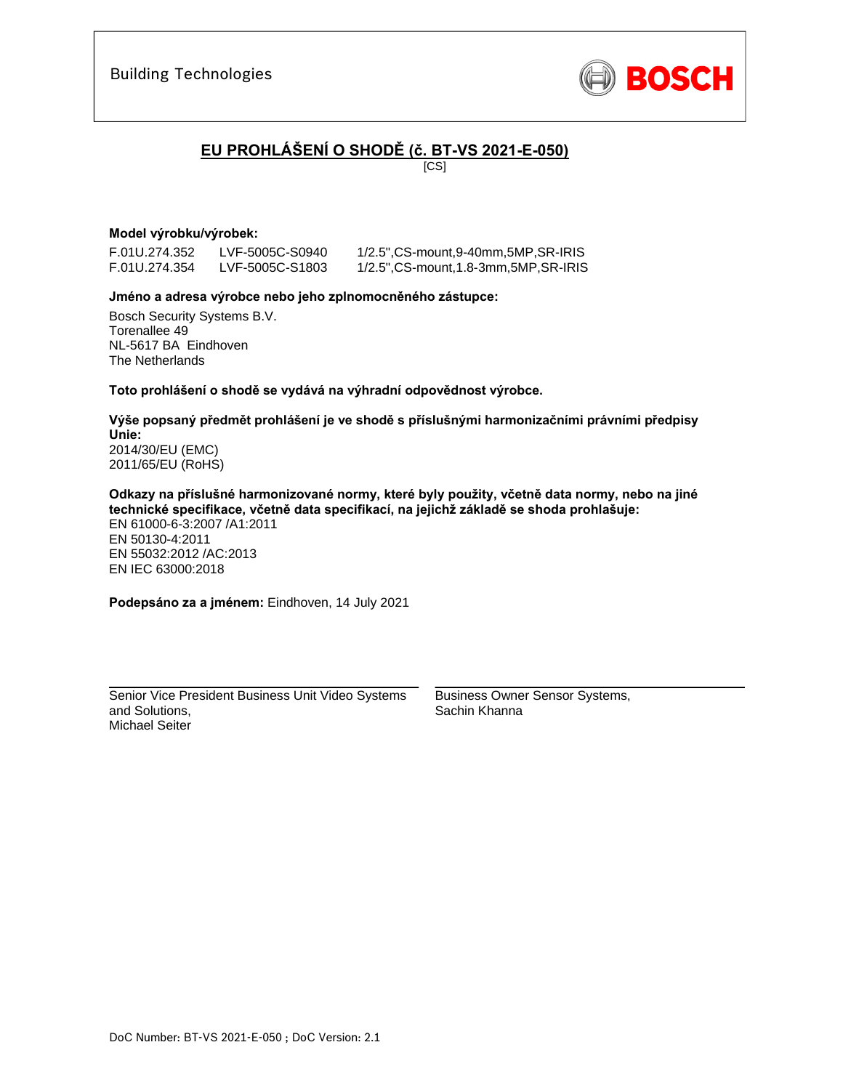

# **EU PROHLÁŠENÍ O SHODĚ (č. BT-VS 2021-E-050)**

[CS]

### **Model výrobku/výrobek:**

F.01U.274.352 LVF-5005C-S0940 1/2.5",CS-mount,9-40mm,5MP,SR-IRIS

1/2.5", CS-mount, 1.8-3mm, 5MP, SR-IRIS

### **Jméno a adresa výrobce nebo jeho zplnomocněného zástupce:**

Bosch Security Systems B.V. Torenallee 49 NL-5617 BA Eindhoven The Netherlands

**Toto prohlášení o shodě se vydává na výhradní odpovědnost výrobce.** 

**Výše popsaný předmět prohlášení je ve shodě s příslušnými harmonizačními právními předpisy Unie:** 2014/30/EU (EMC) 2011/65/EU (RoHS)

**Odkazy na příslušné harmonizované normy, které byly použity, včetně data normy, nebo na jiné technické specifikace, včetně data specifikací, na jejichž základě se shoda prohlašuje:**  EN 61000-6-3:2007 /A1:2011

EN 50130-4:2011 EN 55032:2012 /AC:2013 EN IEC 63000:2018

**Podepsáno za a jménem:** Eindhoven, 14 July 2021

Senior Vice President Business Unit Video Systems and Solutions, Michael Seiter

\_\_\_\_\_\_\_\_\_\_\_\_\_\_\_\_\_\_\_\_\_\_\_\_\_\_\_\_\_\_\_\_\_\_\_\_\_\_\_\_\_\_\_

Business Owner Sensor Systems, Sachin Khanna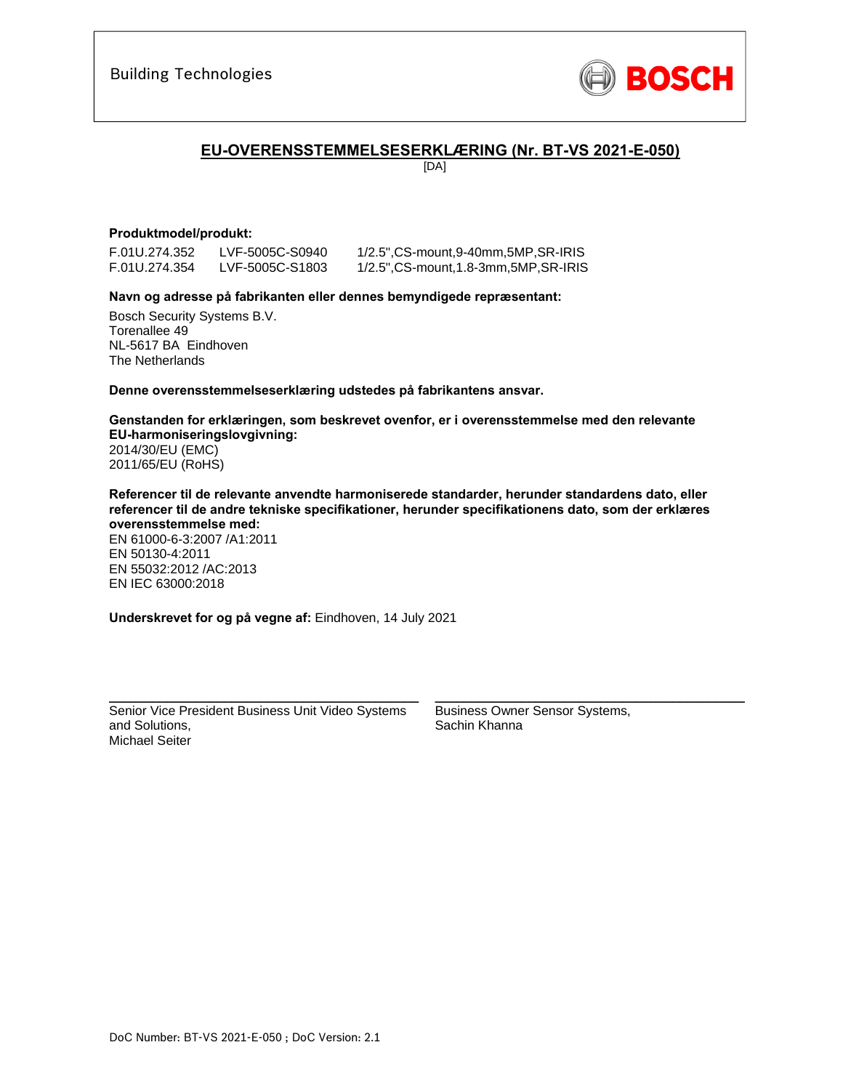

## **EU-OVERENSSTEMMELSESERKLÆRING (Nr. BT-VS 2021-E-050)**

[DA]

### **Produktmodel/produkt:**

F.01U.274.352 LVF-5005C-S0940 1/2.5",CS-mount,9-40mm,5MP,SR-IRIS

1/2.5", CS-mount, 1.8-3mm, 5MP, SR-IRIS

### **Navn og adresse på fabrikanten eller dennes bemyndigede repræsentant:**

Bosch Security Systems B.V. Torenallee 49 NL-5617 BA Eindhoven The Netherlands

**Denne overensstemmelseserklæring udstedes på fabrikantens ansvar.** 

**Genstanden for erklæringen, som beskrevet ovenfor, er i overensstemmelse med den relevante EU-harmoniseringslovgivning:** 2014/30/EU (EMC) 2011/65/EU (RoHS)

**Referencer til de relevante anvendte harmoniserede standarder, herunder standardens dato, eller referencer til de andre tekniske specifikationer, herunder specifikationens dato, som der erklæres overensstemmelse med:** 

EN 61000-6-3:2007 /A1:2011 EN 50130-4:2011 EN 55032:2012 /AC:2013 EN IEC 63000:2018

**Underskrevet for og på vegne af:** Eindhoven, 14 July 2021

Senior Vice President Business Unit Video Systems and Solutions, Michael Seiter

\_\_\_\_\_\_\_\_\_\_\_\_\_\_\_\_\_\_\_\_\_\_\_\_\_\_\_\_\_\_\_\_\_\_\_\_\_\_\_\_\_\_\_

Business Owner Sensor Systems, Sachin Khanna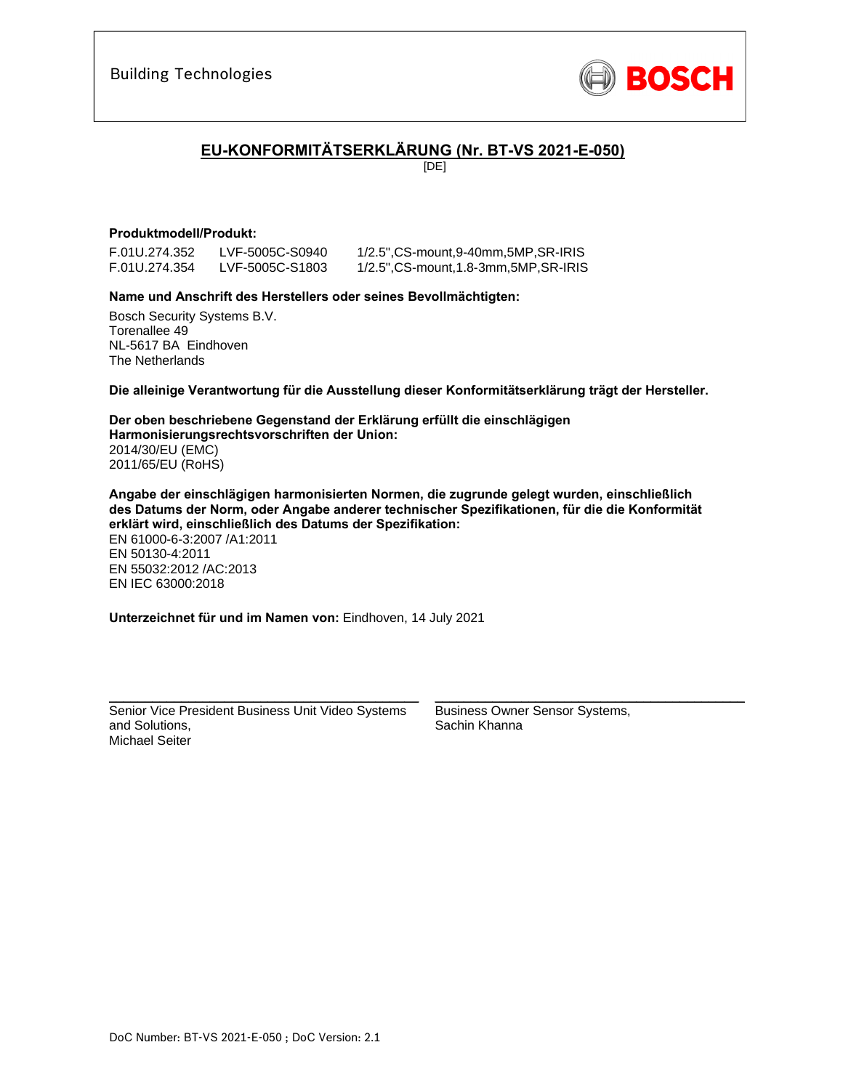

## **EU-KONFORMITÄTSERKLÄRUNG (Nr. BT-VS 2021-E-050)**

[DE]

## **Produktmodell/Produkt:**

F.01U.274.352 LVF-5005C-S0940 1/2.5",CS-mount,9-40mm,5MP,SR-IRIS F.01U.274.354 LVF-5005C-S1803 1/2.5",CS-mount,1.8-3mm,5MP,SR-IRIS

### **Name und Anschrift des Herstellers oder seines Bevollmächtigten:**

Bosch Security Systems B.V. Torenallee 49 NL-5617 BA Eindhoven The Netherlands

**Die alleinige Verantwortung für die Ausstellung dieser Konformitätserklärung trägt der Hersteller.** 

**Der oben beschriebene Gegenstand der Erklärung erfüllt die einschlägigen Harmonisierungsrechtsvorschriften der Union:** 2014/30/EU (EMC) 2011/65/EU (RoHS)

**Angabe der einschlägigen harmonisierten Normen, die zugrunde gelegt wurden, einschließlich des Datums der Norm, oder Angabe anderer technischer Spezifikationen, für die die Konformität erklärt wird, einschließlich des Datums der Spezifikation:**  EN 61000-6-3:2007 /A1:2011

EN 50130-4:2011 EN 55032:2012 /AC:2013 EN IEC 63000:2018

**Unterzeichnet für und im Namen von:** Eindhoven, 14 July 2021

Senior Vice President Business Unit Video Systems and Solutions, Michael Seiter

\_\_\_\_\_\_\_\_\_\_\_\_\_\_\_\_\_\_\_\_\_\_\_\_\_\_\_\_\_\_\_\_\_\_\_\_\_\_\_\_\_\_\_

Business Owner Sensor Systems, Sachin Khanna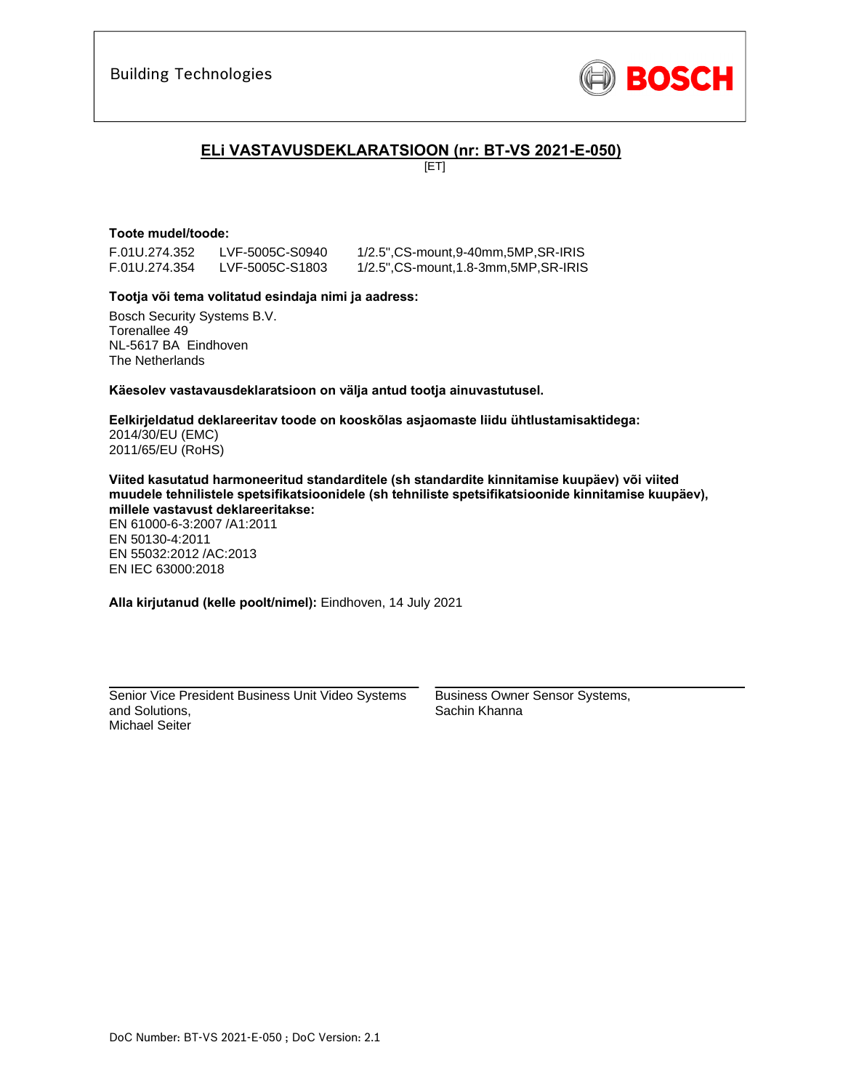

## **ELi VASTAVUSDEKLARATSIOON (nr: BT-VS 2021-E-050)**

[ET]

### **Toote mudel/toode:**

F.01U.274.352 LVF-5005C-S0940 1/2.5",CS-mount,9-40mm,5MP,SR-IRIS

F.01U.274.354 LVF-5005C-S1803 1/2.5",CS-mount,1.8-3mm,5MP,SR-IRIS

### **Tootja või tema volitatud esindaja nimi ja aadress:**

Bosch Security Systems B.V. Torenallee 49 NL-5617 BA Eindhoven The Netherlands

**Käesolev vastavausdeklaratsioon on välja antud tootja ainuvastutusel.** 

**Eelkirjeldatud deklareeritav toode on kooskõlas asjaomaste liidu ühtlustamisaktidega:** 2014/30/EU (EMC) 2011/65/EU (RoHS)

**Viited kasutatud harmoneeritud standarditele (sh standardite kinnitamise kuupäev) või viited muudele tehnilistele spetsifikatsioonidele (sh tehniliste spetsifikatsioonide kinnitamise kuupäev), millele vastavust deklareeritakse:** 

EN 61000-6-3:2007 /A1:2011 EN 50130-4:2011 EN 55032:2012 /AC:2013 EN IEC 63000:2018

**Alla kirjutanud (kelle poolt/nimel):** Eindhoven, 14 July 2021

Senior Vice President Business Unit Video Systems and Solutions, Michael Seiter

\_\_\_\_\_\_\_\_\_\_\_\_\_\_\_\_\_\_\_\_\_\_\_\_\_\_\_\_\_\_\_\_\_\_\_\_\_\_\_\_\_\_\_

Business Owner Sensor Systems, Sachin Khanna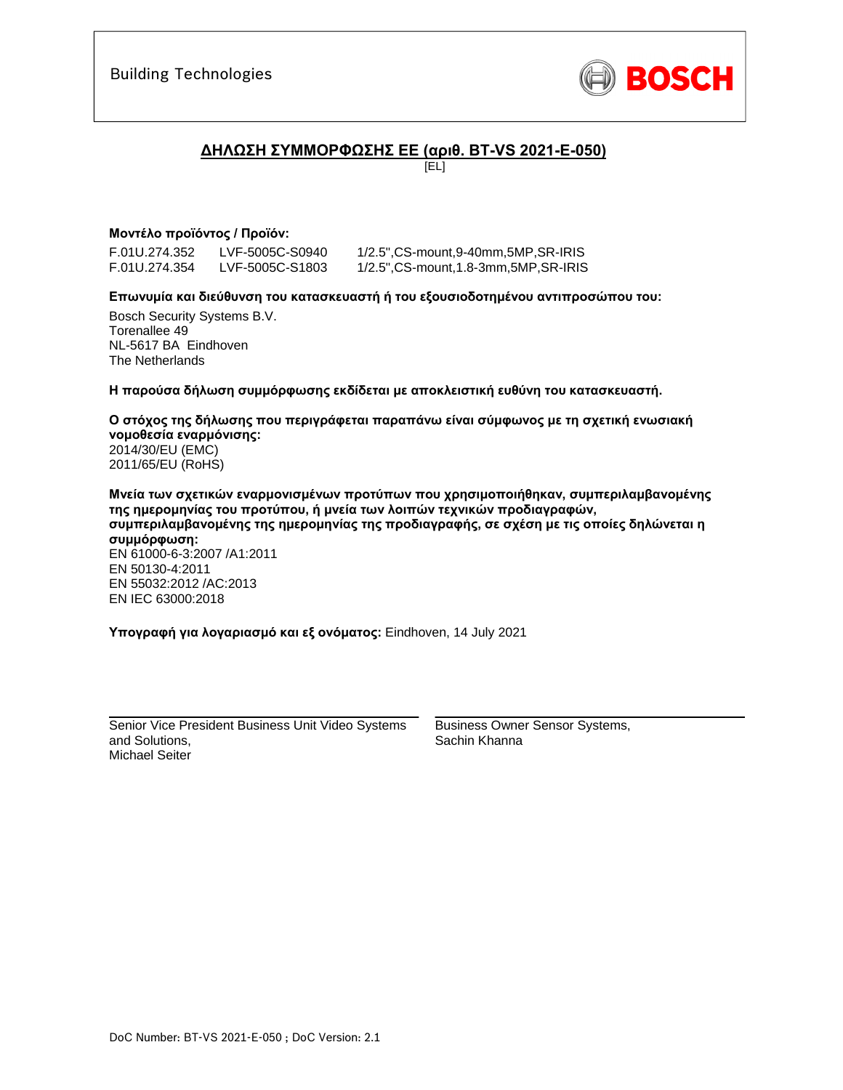

## **ΔΗΛΩΣΗ ΣΥΜΜΟΡΦΩΣΗΣ ΕΕ (αριθ. BT-VS 2021-E-050)**

[EL]

## **Μοντέλο προϊόντος / Προϊόν:**

F.01U.274.352 LVF-5005C-S0940 1/2.5",CS-mount,9-40mm,5MP,SR-IRIS

1/2.5", CS-mount, 1.8-3mm, 5MP, SR-IRIS

### **Επωνυμία και διεύθυνση του κατασκευαστή ή του εξουσιοδοτημένου αντιπροσώπου του:**

Bosch Security Systems B.V. Torenallee 49 NL-5617 BA Eindhoven The Netherlands

**Η παρούσα δήλωση συμμόρφωσης εκδίδεται με αποκλειστική ευθύνη του κατασκευαστή.** 

**Ο στόχος της δήλωσης που περιγράφεται παραπάνω είναι σύμφωνος με τη σχετική ενωσιακή νομοθεσία εναρμόνισης:** 2014/30/EU (EMC) 2011/65/EU (RoHS)

**Μνεία των σχετικών εναρμονισμένων προτύπων που χρησιμοποιήθηκαν, συμπεριλαμβανομένης της ημερομηνίας του προτύπου, ή μνεία των λοιπών τεχνικών προδιαγραφών, συμπεριλαμβανομένης της ημερομηνίας της προδιαγραφής, σε σχέση με τις οποίες δηλώνεται η συμμόρφωση:**  EN 61000-6-3:2007 /A1:2011 EN 50130-4:2011 EN 55032:2012 /AC:2013 EN IEC 63000:2018

**Υπογραφή για λογαριασμό και εξ ονόματος:** Eindhoven, 14 July 2021

\_\_\_\_\_\_\_\_\_\_\_\_\_\_\_\_\_\_\_\_\_\_\_\_\_\_\_\_\_\_\_\_\_\_\_\_\_\_\_\_\_\_\_ Senior Vice President Business Unit Video Systems and Solutions, Michael Seiter

Business Owner Sensor Systems, Sachin Khanna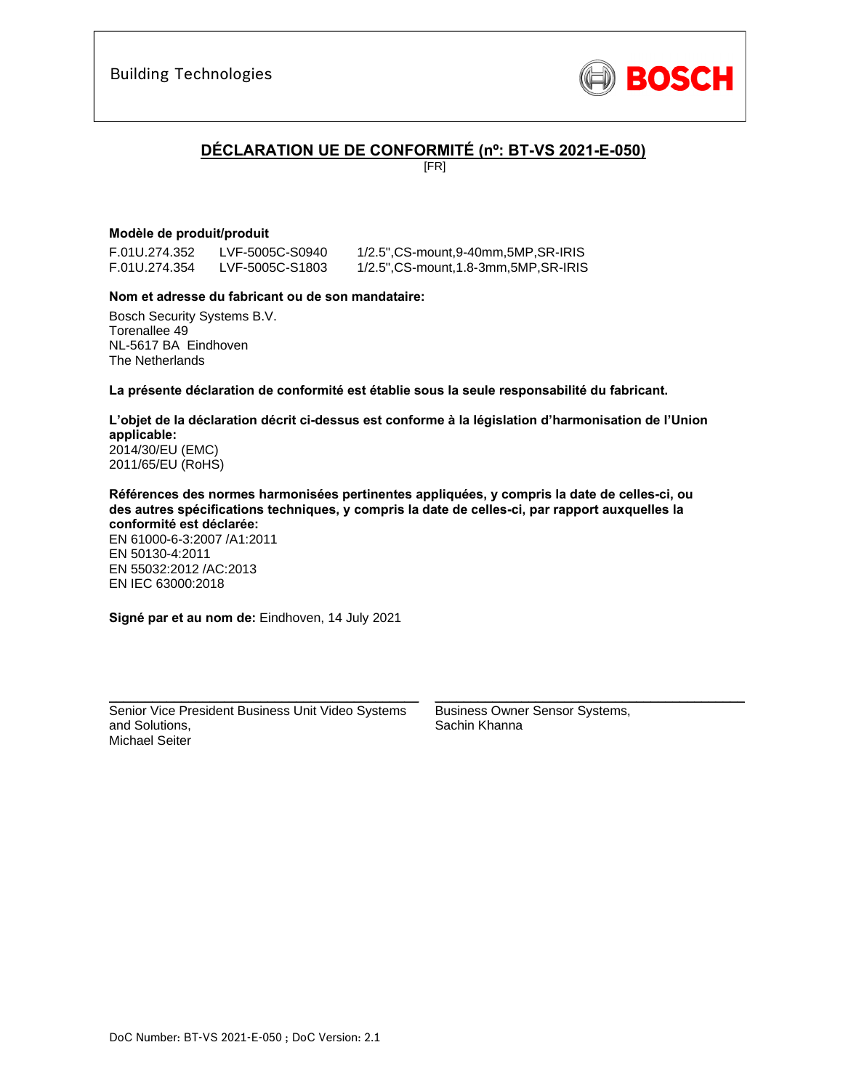

## **DÉCLARATION UE DE CONFORMITÉ (nº: BT-VS 2021-E-050)**

[FR]

## **Modèle de produit/produit**

F.01U.274.352 LVF-5005C-S0940 1/2.5",CS-mount,9-40mm,5MP,SR-IRIS

F.01U.274.354 LVF-5005C-S1803 1/2.5",CS-mount,1.8-3mm,5MP,SR-IRIS

### **Nom et adresse du fabricant ou de son mandataire:**

Bosch Security Systems B.V. Torenallee 49 NL-5617 BA Eindhoven The Netherlands

**La présente déclaration de conformité est établie sous la seule responsabilité du fabricant.** 

#### **L'objet de la déclaration décrit ci-dessus est conforme à la législation d'harmonisation de l'Union applicable:** 2014/30/EU (EMC) 2011/65/EU (RoHS)

**Références des normes harmonisées pertinentes appliquées, y compris la date de celles-ci, ou des autres spécifications techniques, y compris la date de celles-ci, par rapport auxquelles la conformité est déclarée:**  EN 61000-6-3:2007 /A1:2011 EN 50130-4:2011

EN 55032:2012 /AC:2013 EN IEC 63000:2018

**Signé par et au nom de:** Eindhoven, 14 July 2021

Senior Vice President Business Unit Video Systems and Solutions, Michael Seiter

\_\_\_\_\_\_\_\_\_\_\_\_\_\_\_\_\_\_\_\_\_\_\_\_\_\_\_\_\_\_\_\_\_\_\_\_\_\_\_\_\_\_\_

Business Owner Sensor Systems, Sachin Khanna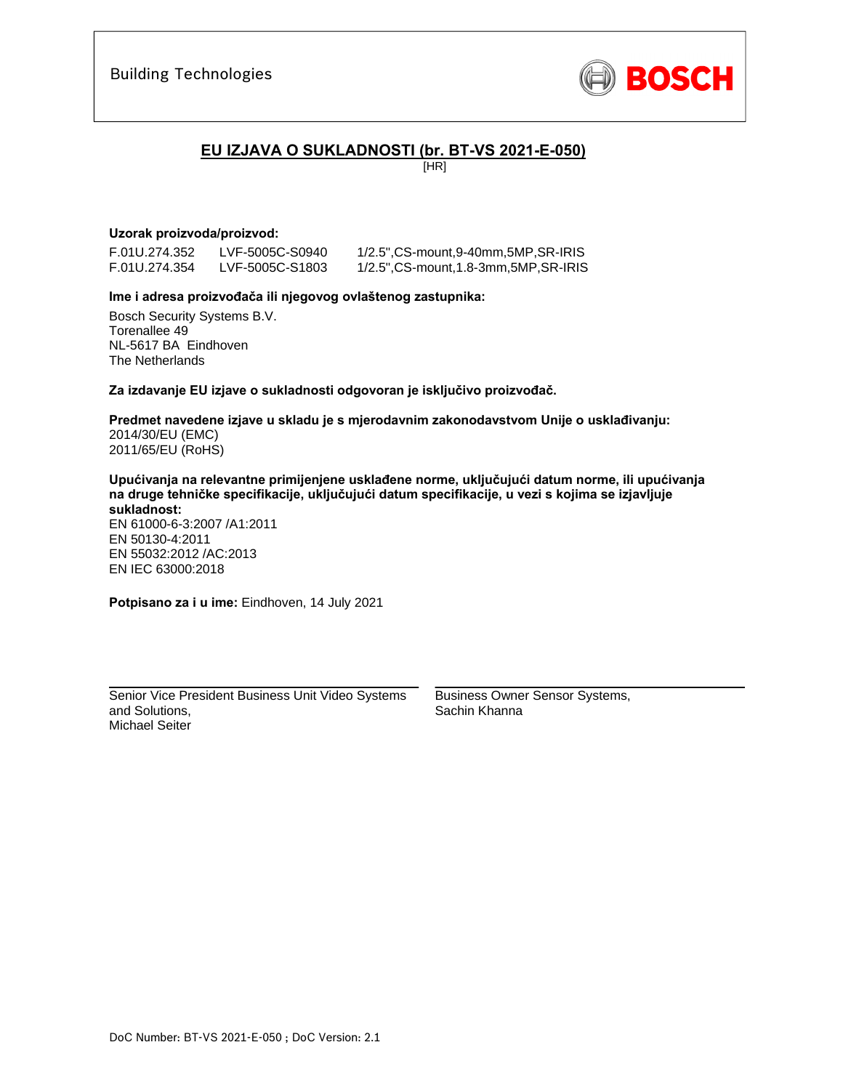

## **EU IZJAVA O SUKLADNOSTI (br. BT-VS 2021-E-050)**

[HR]

## **Uzorak proizvoda/proizvod:**

F.01U.274.352 LVF-5005C-S0940 1/2.5",CS-mount,9-40mm,5MP,SR-IRIS

1/2.5", CS-mount, 1.8-3mm, 5MP, SR-IRIS

### **Ime i adresa proizvođača ili njegovog ovlaštenog zastupnika:**

Bosch Security Systems B.V. Torenallee 49 NL-5617 BA Eindhoven The Netherlands

**Za izdavanje EU izjave o sukladnosti odgovoran je isključivo proizvođač.** 

**Predmet navedene izjave u skladu je s mjerodavnim zakonodavstvom Unije o usklađivanju:** 2014/30/EU (EMC) 2011/65/EU (RoHS)

**Upućivanja na relevantne primijenjene usklađene norme, uključujući datum norme, ili upućivanja na druge tehničke specifikacije, uključujući datum specifikacije, u vezi s kojima se izjavljuje sukladnost:** 

EN 61000-6-3:2007 /A1:2011 EN 50130-4:2011 EN 55032:2012 /AC:2013 EN IEC 63000:2018

**Potpisano za i u ime:** Eindhoven, 14 July 2021

Senior Vice President Business Unit Video Systems and Solutions, Michael Seiter

\_\_\_\_\_\_\_\_\_\_\_\_\_\_\_\_\_\_\_\_\_\_\_\_\_\_\_\_\_\_\_\_\_\_\_\_\_\_\_\_\_\_\_

Business Owner Sensor Systems, Sachin Khanna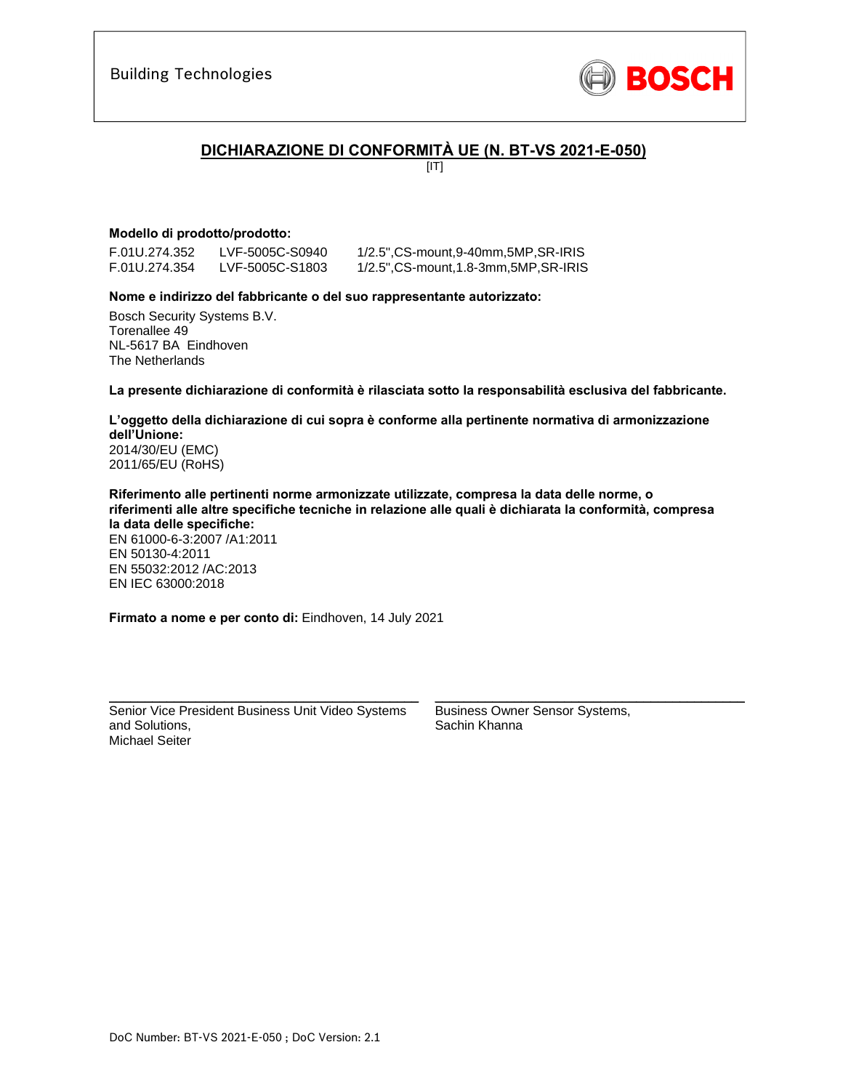

## **DICHIARAZIONE DI CONFORMITÀ UE (N. BT-VS 2021-E-050)**

 $[IT]$ 

## **Modello di prodotto/prodotto:**

F.01U.274.352 LVF-5005C-S0940 1/2.5",CS-mount,9-40mm,5MP,SR-IRIS 1/2.5", CS-mount, 1.8-3mm, 5MP, SR-IRIS

### **Nome e indirizzo del fabbricante o del suo rappresentante autorizzato:**

Bosch Security Systems B.V. Torenallee 49 NL-5617 BA Eindhoven The Netherlands

**La presente dichiarazione di conformità è rilasciata sotto la responsabilità esclusiva del fabbricante.** 

## **L'oggetto della dichiarazione di cui sopra è conforme alla pertinente normativa di armonizzazione dell'Unione:** 2014/30/EU (EMC)

2011/65/EU (RoHS)

**Riferimento alle pertinenti norme armonizzate utilizzate, compresa la data delle norme, o riferimenti alle altre specifiche tecniche in relazione alle quali è dichiarata la conformità, compresa la data delle specifiche:**  EN 61000-6-3:2007 /A1:2011 EN 50130-4:2011 EN 55032:2012 /AC:2013 EN IEC 63000:2018

**Firmato a nome e per conto di:** Eindhoven, 14 July 2021

Senior Vice President Business Unit Video Systems and Solutions, Michael Seiter

\_\_\_\_\_\_\_\_\_\_\_\_\_\_\_\_\_\_\_\_\_\_\_\_\_\_\_\_\_\_\_\_\_\_\_\_\_\_\_\_\_\_\_

Business Owner Sensor Systems, Sachin Khanna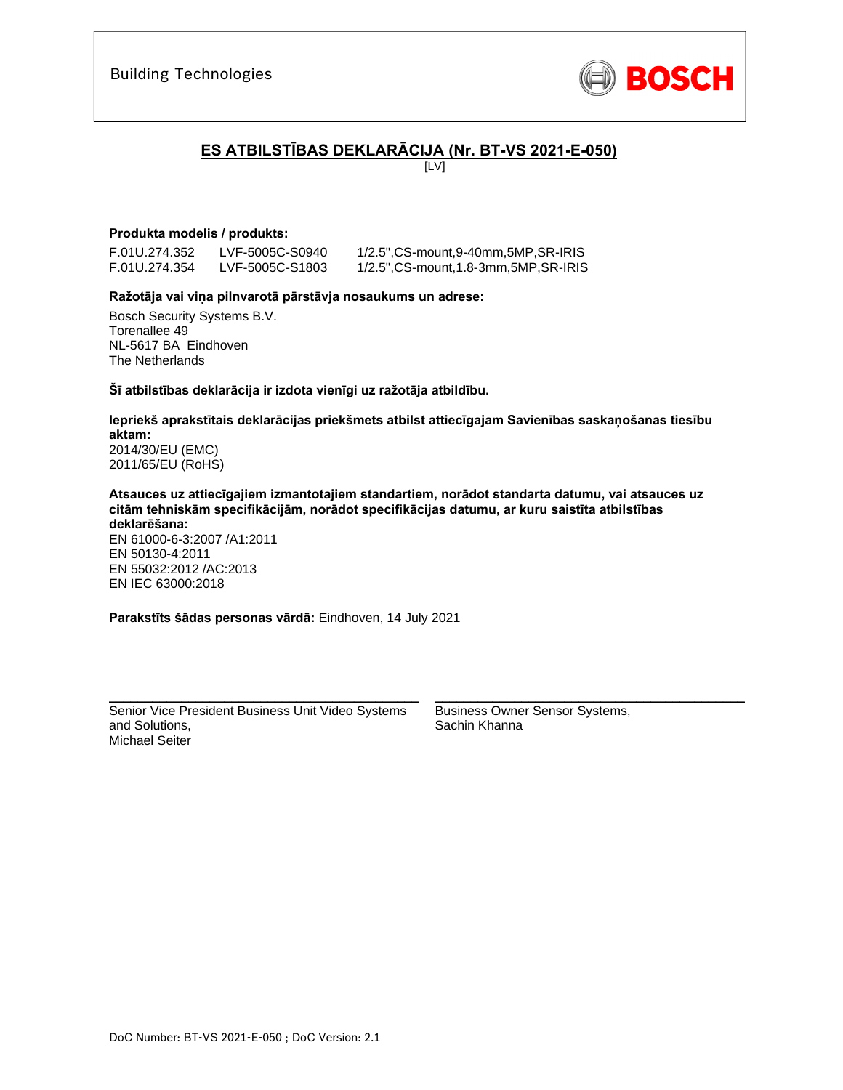

# **ES ATBILSTĪBAS DEKLARĀCIJA (Nr. BT-VS 2021-E-050)**

[LV]

## **Produkta modelis / produkts:**

F.01U.274.352 LVF-5005C-S0940 1/2.5",CS-mount,9-40mm,5MP,SR-IRIS

F.01U.274.354 LVF-5005C-S1803 1/2.5",CS-mount,1.8-3mm,5MP,SR-IRIS

### **Ražotāja vai viņa pilnvarotā pārstāvja nosaukums un adrese:**

Bosch Security Systems B.V. Torenallee 49 NL-5617 BA Eindhoven The Netherlands

**Šī atbilstības deklarācija ir izdota vienīgi uz ražotāja atbildību.** 

**Iepriekš aprakstītais deklarācijas priekšmets atbilst attiecīgajam Savienības saskaņošanas tiesību aktam:** 2014/30/EU (EMC)

2011/65/EU (RoHS)

**Atsauces uz attiecīgajiem izmantotajiem standartiem, norādot standarta datumu, vai atsauces uz citām tehniskām specifikācijām, norādot specifikācijas datumu, ar kuru saistīta atbilstības deklarēšana:** 

EN 61000-6-3:2007 /A1:2011 EN 50130-4:2011 EN 55032:2012 /AC:2013 EN IEC 63000:2018

**Parakstīts šādas personas vārdā:** Eindhoven, 14 July 2021

Senior Vice President Business Unit Video Systems and Solutions, Michael Seiter

\_\_\_\_\_\_\_\_\_\_\_\_\_\_\_\_\_\_\_\_\_\_\_\_\_\_\_\_\_\_\_\_\_\_\_\_\_\_\_\_\_\_\_

Business Owner Sensor Systems, Sachin Khanna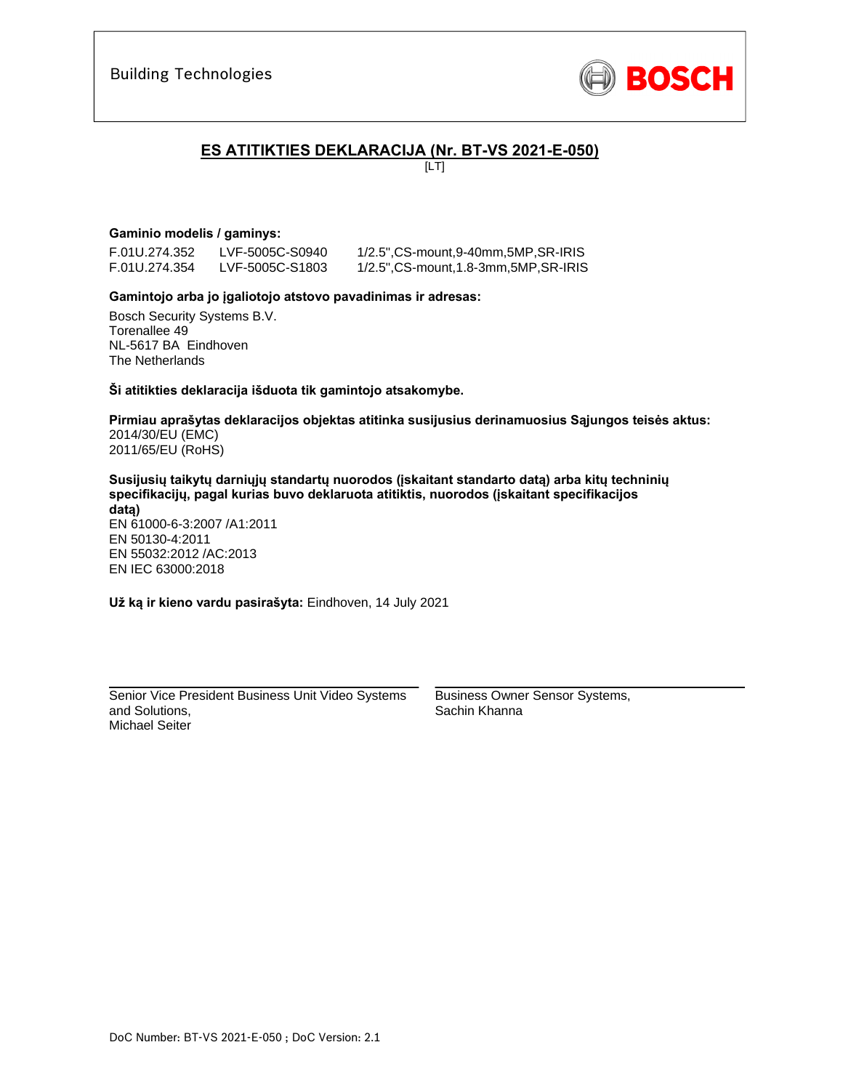

## **ES ATITIKTIES DEKLARACIJA (Nr. BT-VS 2021-E-050)**

 $[LT]$ 

## **Gaminio modelis / gaminys:**

F.01U.274.352 LVF-5005C-S0940 1/2.5",CS-mount,9-40mm,5MP,SR-IRIS 1/2.5", CS-mount, 1.8-3mm, 5MP, SR-IRIS

### **Gamintojo arba jo įgaliotojo atstovo pavadinimas ir adresas:**

Bosch Security Systems B.V. Torenallee 49 NL-5617 BA Eindhoven The Netherlands

**Ši atitikties deklaracija išduota tik gamintojo atsakomybe.** 

**Pirmiau aprašytas deklaracijos objektas atitinka susijusius derinamuosius Sąjungos teisės aktus:** 2014/30/EU (EMC) 2011/65/EU (RoHS)

**Susijusių taikytų darniųjų standartų nuorodos (įskaitant standarto datą) arba kitų techninių specifikacijų, pagal kurias buvo deklaruota atitiktis, nuorodos (įskaitant specifikacijos datą)** 

EN 61000-6-3:2007 /A1:2011 EN 50130-4:2011 EN 55032:2012 /AC:2013 EN IEC 63000:2018

**Už ką ir kieno vardu pasirašyta:** Eindhoven, 14 July 2021

Senior Vice President Business Unit Video Systems and Solutions, Michael Seiter

\_\_\_\_\_\_\_\_\_\_\_\_\_\_\_\_\_\_\_\_\_\_\_\_\_\_\_\_\_\_\_\_\_\_\_\_\_\_\_\_\_\_\_

Business Owner Sensor Systems, Sachin Khanna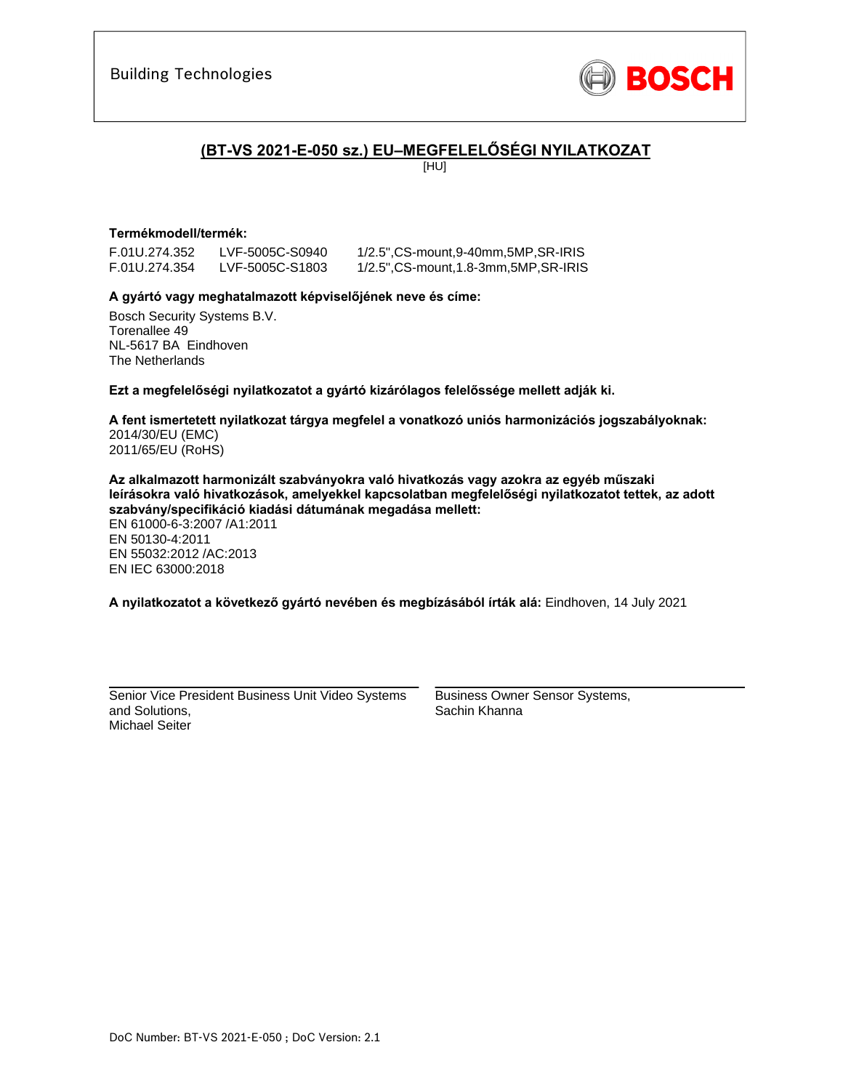

## **(BT-VS 2021-E-050 sz.) EU–MEGFELELŐSÉGI NYILATKOZAT**

[HU]

### **Termékmodell/termék:**

F.01U.274.354 LVF-5005C-S1803 1/2.5",CS-mount,1.8-3mm,5MP,SR-IRIS

F.01U.274.352 LVF-5005C-S0940 1/2.5",CS-mount,9-40mm,5MP,SR-IRIS

### **A gyártó vagy meghatalmazott képviselőjének neve és címe:**

Bosch Security Systems B.V. Torenallee 49 NL-5617 BA Eindhoven The Netherlands

**Ezt a megfelelőségi nyilatkozatot a gyártó kizárólagos felelőssége mellett adják ki.** 

**A fent ismertetett nyilatkozat tárgya megfelel a vonatkozó uniós harmonizációs jogszabályoknak:** 2014/30/EU (EMC) 2011/65/EU (RoHS)

**Az alkalmazott harmonizált szabványokra való hivatkozás vagy azokra az egyéb műszaki leírásokra való hivatkozások, amelyekkel kapcsolatban megfelelőségi nyilatkozatot tettek, az adott szabvány/specifikáció kiadási dátumának megadása mellett:** 

EN 61000-6-3:2007 /A1:2011 EN 50130-4:2011 EN 55032:2012 /AC:2013 EN IEC 63000:2018

**A nyilatkozatot a következő gyártó nevében és megbízásából írták alá:** Eindhoven, 14 July 2021

Senior Vice President Business Unit Video Systems and Solutions, Michael Seiter

\_\_\_\_\_\_\_\_\_\_\_\_\_\_\_\_\_\_\_\_\_\_\_\_\_\_\_\_\_\_\_\_\_\_\_\_\_\_\_\_\_\_\_

Business Owner Sensor Systems, Sachin Khanna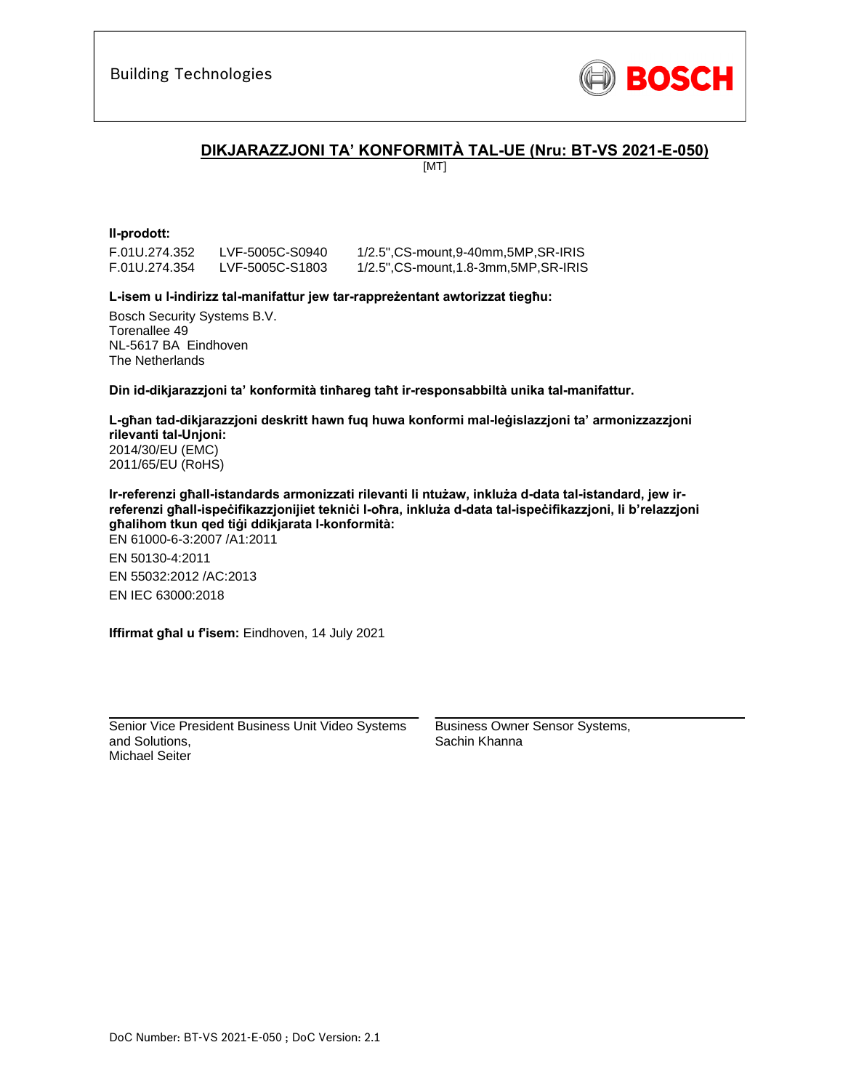

## **DIKJARAZZJONI TA' KONFORMITÀ TAL-UE (Nru: BT-VS 2021-E-050)**

[MT]

## **Il-prodott:**

F.01U.274.352 LVF-5005C-S0940 1/2.5",CS-mount,9-40mm,5MP,SR-IRIS

1/2.5", CS-mount, 1.8-3mm, 5MP, SR-IRIS

### **L-isem u l-indirizz tal-manifattur jew tar-rappreżentant awtorizzat tiegħu:**

Bosch Security Systems B.V. Torenallee 49 NL-5617 BA Eindhoven The Netherlands

**Din id-dikjarazzjoni ta' konformità tinħareg taħt ir-responsabbiltà unika tal-manifattur.** 

**L-għan tad-dikjarazzjoni deskritt hawn fuq huwa konformi mal-leġislazzjoni ta' armonizzazzjoni rilevanti tal-Unjoni:** 2014/30/EU (EMC) 2011/65/EU (RoHS)

**Ir-referenzi għall-istandards armonizzati rilevanti li ntużaw, inkluża d-data tal-istandard, jew irreferenzi għall-ispeċifikazzjonijiet tekniċi l-oħra, inkluża d-data tal-ispeċifikazzjoni, li b'relazzjoni għalihom tkun qed tiġi ddikjarata l-konformità:**  EN 61000-6-3:2007 /A1:2011 EN 50130-4:2011 EN 55032:2012 /AC:2013 EN IEC 63000:2018

**Iffirmat għal u f'isem:** Eindhoven, 14 July 2021

\_\_\_\_\_\_\_\_\_\_\_\_\_\_\_\_\_\_\_\_\_\_\_\_\_\_\_\_\_\_\_\_\_\_\_\_\_\_\_\_\_\_\_ Senior Vice President Business Unit Video Systems and Solutions, Michael Seiter

Business Owner Sensor Systems, Sachin Khanna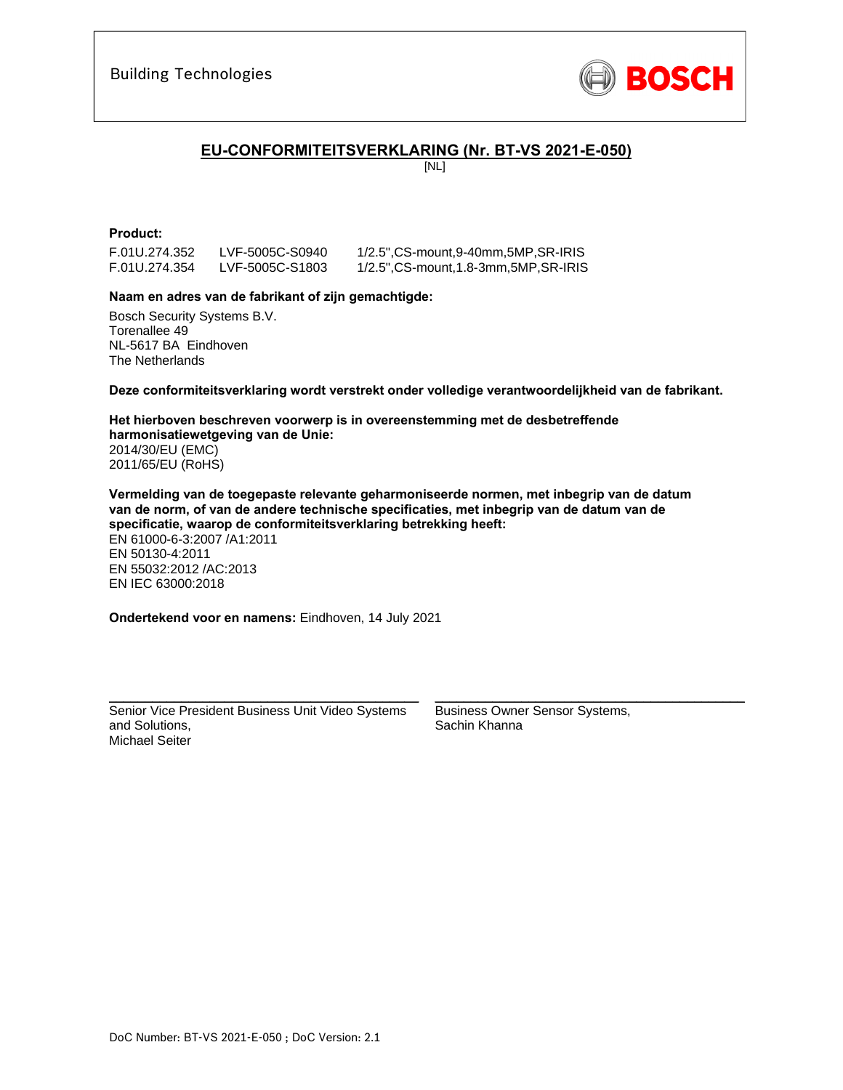

## **EU-CONFORMITEITSVERKLARING (Nr. BT-VS 2021-E-050)**

[NL]

## **Product:**

F.01U.274.352 LVF-5005C-S0940 1/2.5",CS-mount,9-40mm,5MP,SR-IRIS

F.01U.274.354 LVF-5005C-S1803 1/2.5",CS-mount,1.8-3mm,5MP,SR-IRIS

### **Naam en adres van de fabrikant of zijn gemachtigde:**

Bosch Security Systems B.V. Torenallee 49 NL-5617 BA Eindhoven The Netherlands

**Deze conformiteitsverklaring wordt verstrekt onder volledige verantwoordelijkheid van de fabrikant.** 

**Het hierboven beschreven voorwerp is in overeenstemming met de desbetreffende harmonisatiewetgeving van de Unie:** 2014/30/EU (EMC) 2011/65/EU (RoHS)

**Vermelding van de toegepaste relevante geharmoniseerde normen, met inbegrip van de datum van de norm, of van de andere technische specificaties, met inbegrip van de datum van de specificatie, waarop de conformiteitsverklaring betrekking heeft:**  EN 61000-6-3:2007 /A1:2011 EN 50130-4:2011 EN 55032:2012 /AC:2013 EN IEC 63000:2018

**Ondertekend voor en namens:** Eindhoven, 14 July 2021

Senior Vice President Business Unit Video Systems and Solutions, Michael Seiter

\_\_\_\_\_\_\_\_\_\_\_\_\_\_\_\_\_\_\_\_\_\_\_\_\_\_\_\_\_\_\_\_\_\_\_\_\_\_\_\_\_\_\_

Business Owner Sensor Systems, Sachin Khanna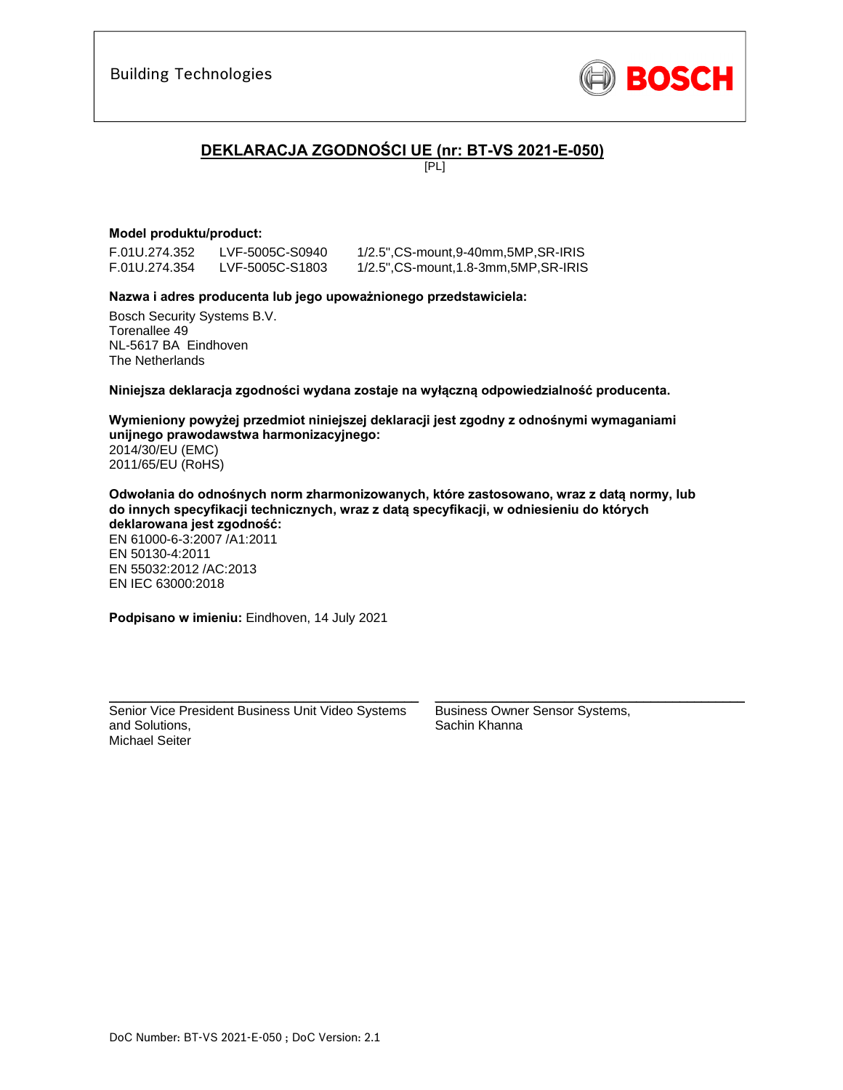

## **DEKLARACJA ZGODNOŚCI UE (nr: BT-VS 2021-E-050)**

[PL]

### **Model produktu/product:**

F.01U.274.352 LVF-5005C-S0940 1/2.5",CS-mount,9-40mm,5MP,SR-IRIS

1/2.5", CS-mount, 1.8-3mm, 5MP, SR-IRIS

### **Nazwa i adres producenta lub jego upoważnionego przedstawiciela:**

Bosch Security Systems B.V. Torenallee 49 NL-5617 BA Eindhoven The Netherlands

**Niniejsza deklaracja zgodności wydana zostaje na wyłączną odpowiedzialność producenta.** 

**Wymieniony powyżej przedmiot niniejszej deklaracji jest zgodny z odnośnymi wymaganiami unijnego prawodawstwa harmonizacyjnego:** 2014/30/EU (EMC) 2011/65/EU (RoHS)

**Odwołania do odnośnych norm zharmonizowanych, które zastosowano, wraz z datą normy, lub do innych specyfikacji technicznych, wraz z datą specyfikacji, w odniesieniu do których deklarowana jest zgodność:**  EN 61000-6-3:2007 /A1:2011 EN 50130-4:2011 EN 55032:2012 /AC:2013 EN IEC 63000:2018

**Podpisano w imieniu:** Eindhoven, 14 July 2021

Senior Vice President Business Unit Video Systems and Solutions, Michael Seiter

\_\_\_\_\_\_\_\_\_\_\_\_\_\_\_\_\_\_\_\_\_\_\_\_\_\_\_\_\_\_\_\_\_\_\_\_\_\_\_\_\_\_\_

Business Owner Sensor Systems, Sachin Khanna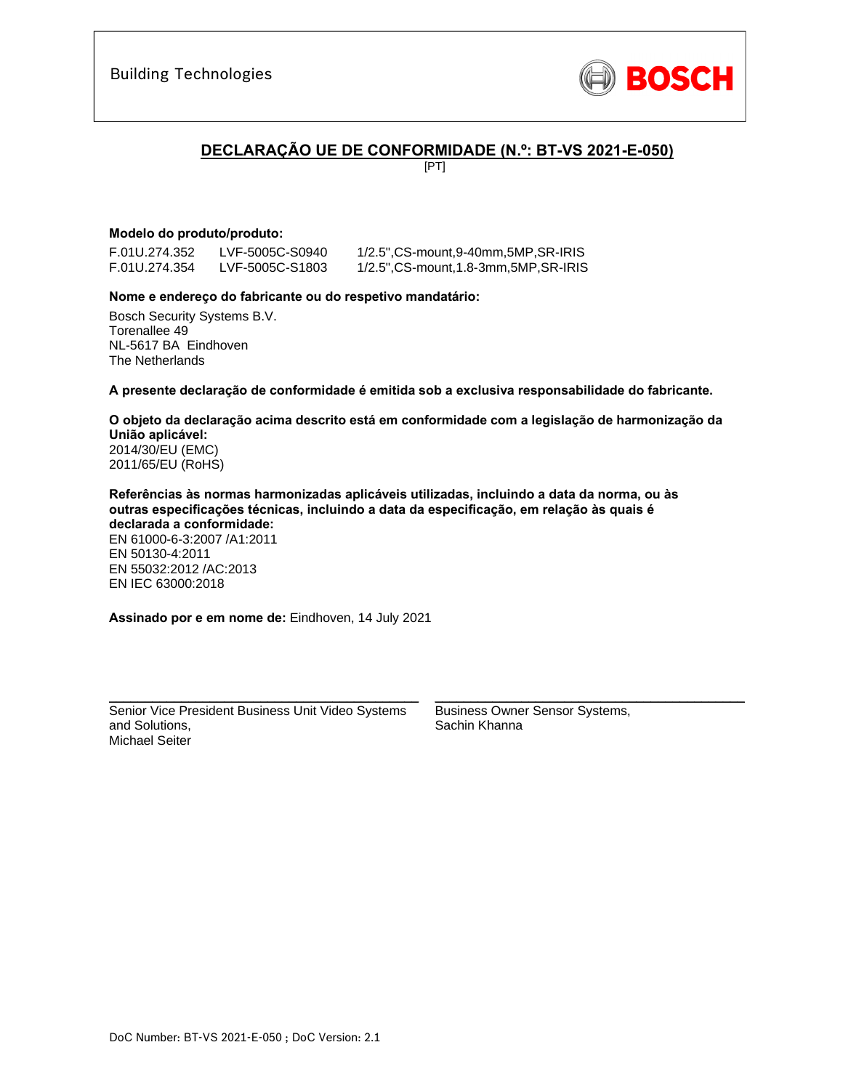

## **DECLARAÇÃO UE DE CONFORMIDADE (N.º: BT-VS 2021-E-050)**

[PT]

## **Modelo do produto/produto:**

F.01U.274.352 LVF-5005C-S0940 1/2.5",CS-mount,9-40mm,5MP,SR-IRIS

F.01U.274.354 LVF-5005C-S1803 1/2.5",CS-mount,1.8-3mm,5MP,SR-IRIS

### **Nome e endereço do fabricante ou do respetivo mandatário:**

Bosch Security Systems B.V. Torenallee 49 NL-5617 BA Eindhoven The Netherlands

**A presente declaração de conformidade é emitida sob a exclusiva responsabilidade do fabricante.** 

**O objeto da declaração acima descrito está em conformidade com a legislação de harmonização da União aplicável:** 2014/30/EU (EMC) 2011/65/EU (RoHS)

**Referências às normas harmonizadas aplicáveis utilizadas, incluindo a data da norma, ou às outras especificações técnicas, incluindo a data da especificação, em relação às quais é declarada a conformidade:**  EN 61000-6-3:2007 /A1:2011 EN 50130-4:2011 EN 55032:2012 /AC:2013 EN IEC 63000:2018

**Assinado por e em nome de:** Eindhoven, 14 July 2021

Senior Vice President Business Unit Video Systems and Solutions, Michael Seiter

\_\_\_\_\_\_\_\_\_\_\_\_\_\_\_\_\_\_\_\_\_\_\_\_\_\_\_\_\_\_\_\_\_\_\_\_\_\_\_\_\_\_\_

Business Owner Sensor Systems, Sachin Khanna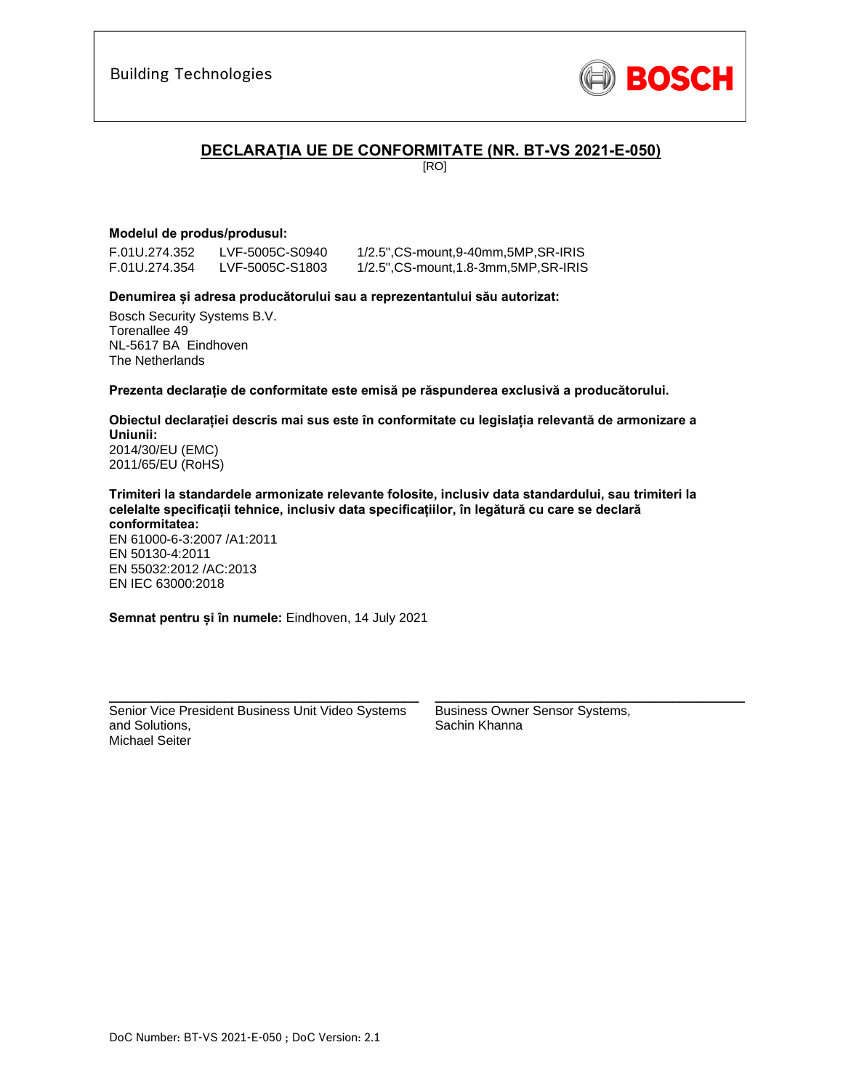

## **DECLARAȚIA UE DE CONFORMITATE (NR. BT-VS 2021-E-050)**

[RO]

## **Modelul de produs/produsul:**

F.01U.274.352 LVF-5005C-S0940 1/2.5",CS-mount,9-40mm,5MP,SR-IRIS

1/2.5", CS-mount,1.8-3mm,5MP, SR-IRIS

### **Denumirea și adresa producătorului sau a reprezentantului său autorizat:**

Bosch Security Systems B.V. Torenallee 49 NL-5617 BA Eindhoven The Netherlands

**Prezenta declarație de conformitate este emisă pe răspunderea exclusivă a producătorului.** 

#### **Obiectul declarației descris mai sus este în conformitate cu legislația relevantă de armonizare a Uniunii:** 2014/30/EU (EMC)

2011/65/EU (RoHS)

#### **Trimiteri la standardele armonizate relevante folosite, inclusiv data standardului, sau trimiteri la celelalte specificații tehnice, inclusiv data specificațiilor, în legătură cu care se declară conformitatea:**

EN 61000-6-3:2007 /A1:2011 EN 50130-4:2011 EN 55032:2012 /AC:2013 EN IEC 63000:2018

**Semnat pentru și în numele:** Eindhoven, 14 July 2021

Senior Vice President Business Unit Video Systems and Solutions, Michael Seiter

\_\_\_\_\_\_\_\_\_\_\_\_\_\_\_\_\_\_\_\_\_\_\_\_\_\_\_\_\_\_\_\_\_\_\_\_\_\_\_\_\_\_\_

Business Owner Sensor Systems, Sachin Khanna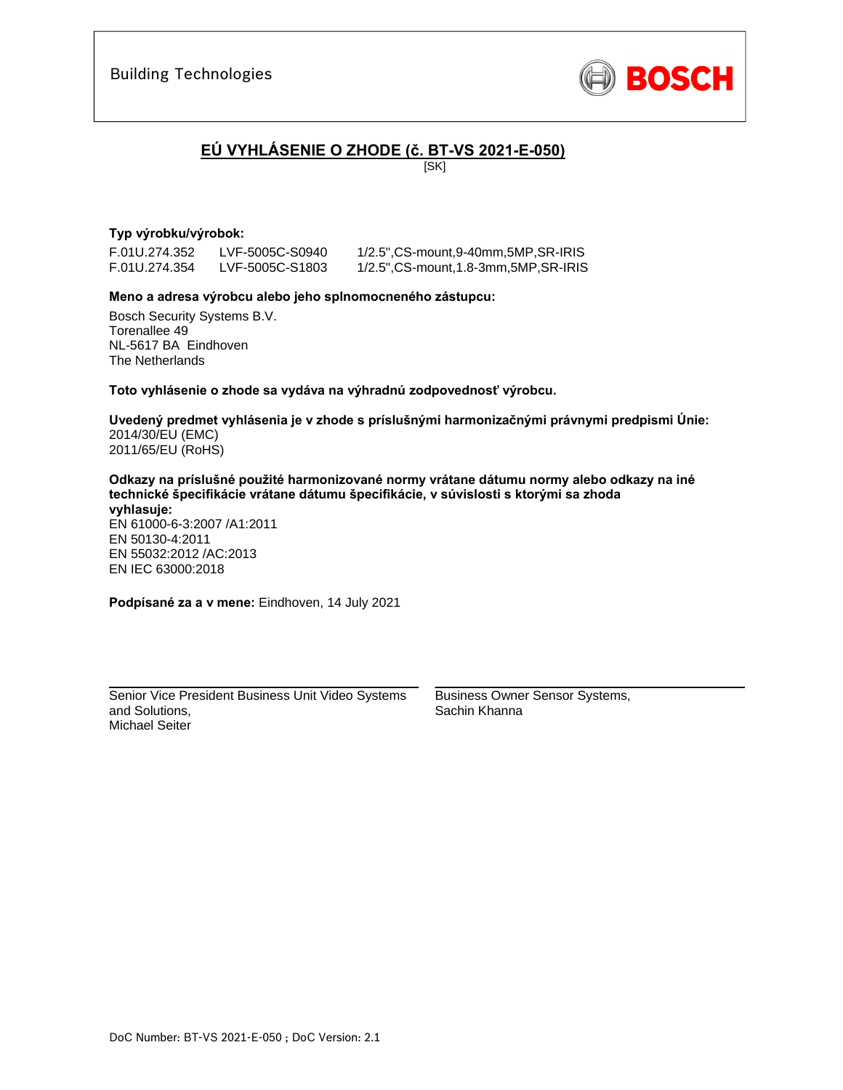

# **EÚ VYHLÁSENIE O ZHODE (č. BT-VS 2021-E-050)**

[SK]

## **Typ výrobku/výrobok:**

F.01U.274.352 LVF-5005C-S0940 1/2.5",CS-mount,9-40mm,5MP,SR-IRIS

1/2.5", CS-mount, 1.8-3mm, 5MP, SR-IRIS

### **Meno a adresa výrobcu alebo jeho splnomocneného zástupcu:**

Bosch Security Systems B.V. Torenallee 49 NL-5617 BA Eindhoven The Netherlands

**Toto vyhlásenie o zhode sa vydáva na výhradnú zodpovednosť výrobcu.** 

**Uvedený predmet vyhlásenia je v zhode s príslušnými harmonizačnými právnymi predpismi Únie:** 2014/30/EU (EMC) 2011/65/EU (RoHS)

**Odkazy na príslušné použité harmonizované normy vrátane dátumu normy alebo odkazy na iné technické špecifikácie vrátane dátumu špecifikácie, v súvislosti s ktorými sa zhoda vyhlasuje:** 

EN 61000-6-3:2007 /A1:2011 EN 50130-4:2011 EN 55032:2012 /AC:2013 EN IEC 63000:2018

**Podpísané za a v mene:** Eindhoven, 14 July 2021

Senior Vice President Business Unit Video Systems and Solutions, Michael Seiter

\_\_\_\_\_\_\_\_\_\_\_\_\_\_\_\_\_\_\_\_\_\_\_\_\_\_\_\_\_\_\_\_\_\_\_\_\_\_\_\_\_\_\_

Business Owner Sensor Systems, Sachin Khanna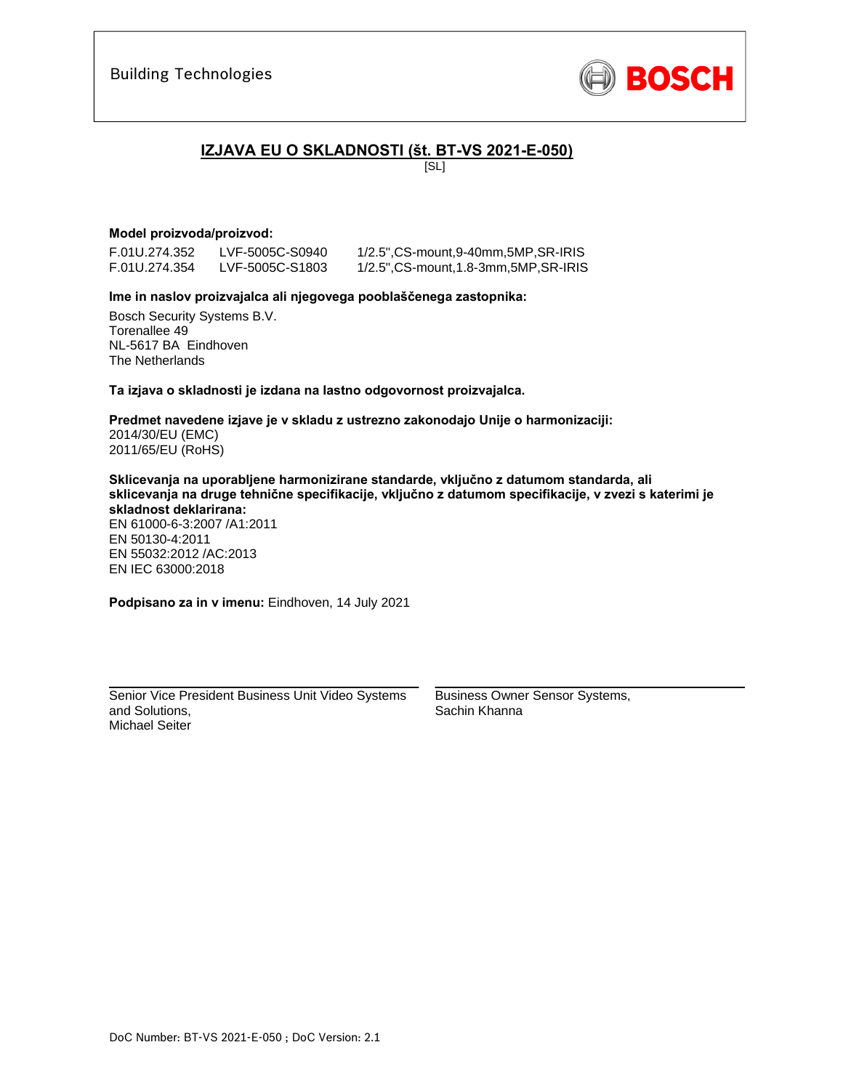

## **IZJAVA EU O SKLADNOSTI (št. BT-VS 2021-E-050)**

[SL]

### **Model proizvoda/proizvod:**

F.01U.274.352 LVF-5005C-S0940 1/2.5",CS-mount,9-40mm,5MP,SR-IRIS

1/2.5", CS-mount, 1.8-3mm, 5MP, SR-IRIS

### **Ime in naslov proizvajalca ali njegovega pooblaščenega zastopnika:**

Bosch Security Systems B.V. Torenallee 49 NL-5617 BA Eindhoven The Netherlands

**Ta izjava o skladnosti je izdana na lastno odgovornost proizvajalca.** 

**Predmet navedene izjave je v skladu z ustrezno zakonodajo Unije o harmonizaciji:** 2014/30/EU (EMC) 2011/65/EU (RoHS)

**Sklicevanja na uporabljene harmonizirane standarde, vključno z datumom standarda, ali sklicevanja na druge tehnične specifikacije, vključno z datumom specifikacije, v zvezi s katerimi je skladnost deklarirana:** 

EN 61000-6-3:2007 /A1:2011 EN 50130-4:2011 EN 55032:2012 /AC:2013 EN IEC 63000:2018

**Podpisano za in v imenu:** Eindhoven, 14 July 2021

Senior Vice President Business Unit Video Systems and Solutions, Michael Seiter

\_\_\_\_\_\_\_\_\_\_\_\_\_\_\_\_\_\_\_\_\_\_\_\_\_\_\_\_\_\_\_\_\_\_\_\_\_\_\_\_\_\_\_

Business Owner Sensor Systems, Sachin Khanna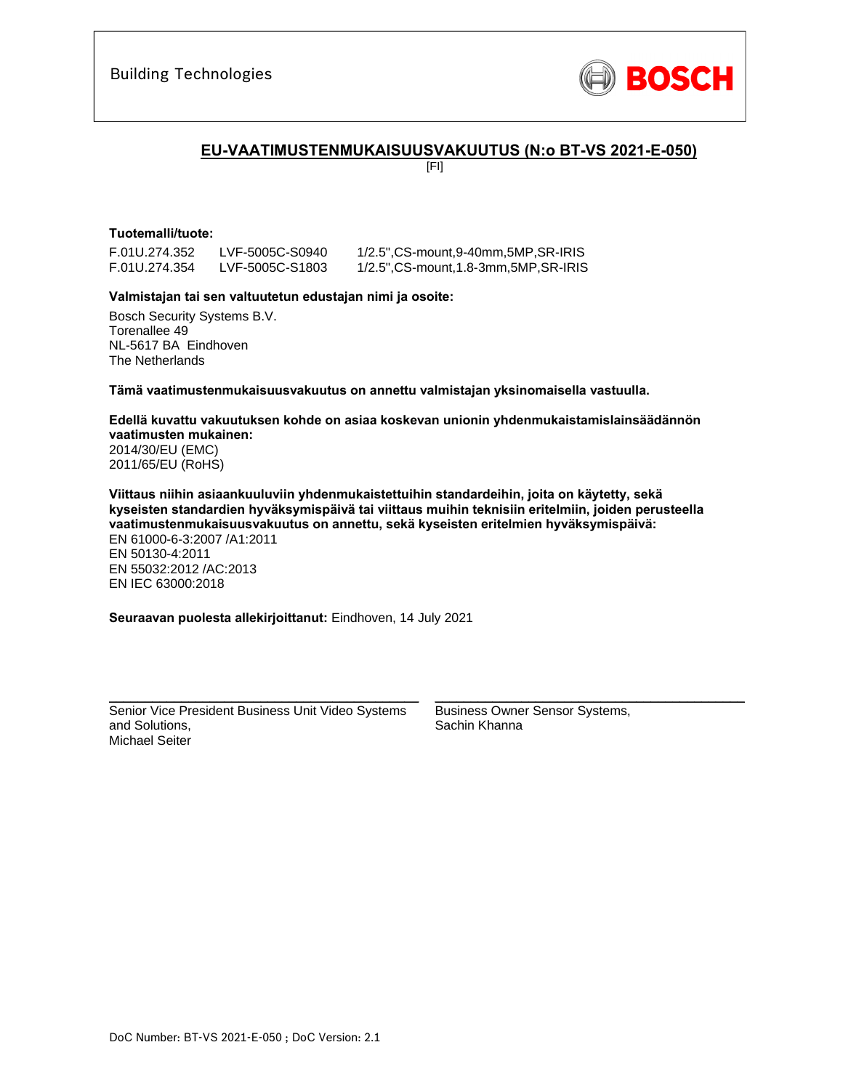

## **EU-VAATIMUSTENMUKAISUUSVAKUUTUS (N:o BT-VS 2021-E-050)**

[FI]

## **Tuotemalli/tuote:**

F.01U.274.352 LVF-5005C-S0940 1/2.5",CS-mount,9-40mm,5MP,SR-IRIS

LVF-5005C-S1803 1/2.5",CS-mount,1.8-3mm,5MP,SR-IRIS

### **Valmistajan tai sen valtuutetun edustajan nimi ja osoite:**

Bosch Security Systems B.V. Torenallee 49 NL-5617 BA Eindhoven The Netherlands

**Tämä vaatimustenmukaisuusvakuutus on annettu valmistajan yksinomaisella vastuulla.** 

**Edellä kuvattu vakuutuksen kohde on asiaa koskevan unionin yhdenmukaistamislainsäädännön vaatimusten mukainen:** 2014/30/EU (EMC) 2011/65/EU (RoHS)

**Viittaus niihin asiaankuuluviin yhdenmukaistettuihin standardeihin, joita on käytetty, sekä kyseisten standardien hyväksymispäivä tai viittaus muihin teknisiin eritelmiin, joiden perusteella vaatimustenmukaisuusvakuutus on annettu, sekä kyseisten eritelmien hyväksymispäivä:**  EN 61000-6-3:2007 /A1:2011 EN 50130-4:2011 EN 55032:2012 /AC:2013 EN IEC 63000:2018

**Seuraavan puolesta allekirjoittanut:** Eindhoven, 14 July 2021

Senior Vice President Business Unit Video Systems and Solutions, Michael Seiter

\_\_\_\_\_\_\_\_\_\_\_\_\_\_\_\_\_\_\_\_\_\_\_\_\_\_\_\_\_\_\_\_\_\_\_\_\_\_\_\_\_\_\_

Business Owner Sensor Systems, Sachin Khanna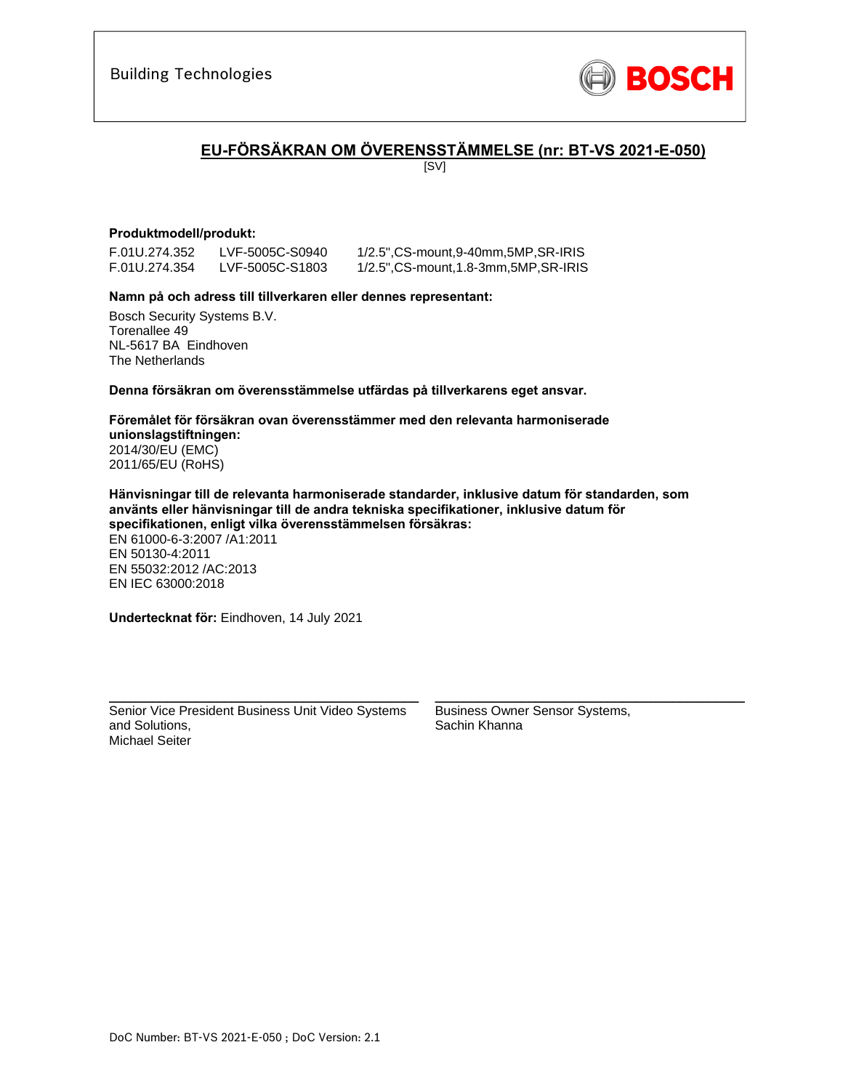

# **EU-FÖRSÄKRAN OM ÖVERENSSTÄMMELSE (nr: BT-VS 2021-E-050)**

[SV]

### **Produktmodell/produkt:**

F.01U.274.352 LVF-5005C-S0940 1/2.5",CS-mount,9-40mm,5MP,SR-IRIS

1/2.5", CS-mount, 1.8-3mm, 5MP, SR-IRIS

### **Namn på och adress till tillverkaren eller dennes representant:**

Bosch Security Systems B.V. Torenallee 49 NL-5617 BA Eindhoven The Netherlands

**Denna försäkran om överensstämmelse utfärdas på tillverkarens eget ansvar.** 

**Föremålet för försäkran ovan överensstämmer med den relevanta harmoniserade unionslagstiftningen:** 2014/30/EU (EMC) 2011/65/EU (RoHS)

**Hänvisningar till de relevanta harmoniserade standarder, inklusive datum för standarden, som använts eller hänvisningar till de andra tekniska specifikationer, inklusive datum för specifikationen, enligt vilka överensstämmelsen försäkras:**  EN 61000-6-3:2007 /A1:2011 EN 50130-4:2011 EN 55032:2012 /AC:2013 EN IEC 63000:2018

**Undertecknat för:** Eindhoven, 14 July 2021

Senior Vice President Business Unit Video Systems and Solutions, Michael Seiter

\_\_\_\_\_\_\_\_\_\_\_\_\_\_\_\_\_\_\_\_\_\_\_\_\_\_\_\_\_\_\_\_\_\_\_\_\_\_\_\_\_\_\_

Business Owner Sensor Systems, Sachin Khanna